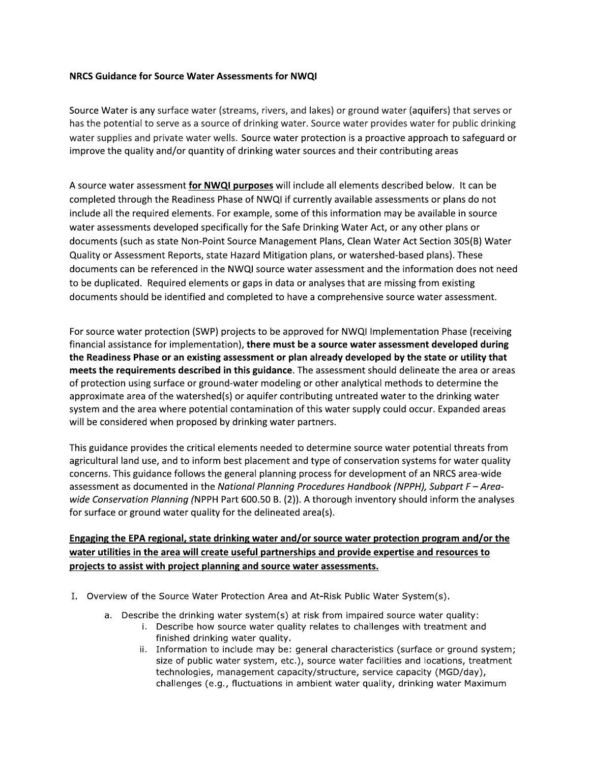## NRCS Guidance for Source Water Assessments for NWQI

Source Water is any surface water (streams, rivers, and lakes) or ground water (aquifers) that serves or has the potential to serve as a source of drinking water. Source water provides water for public drinking water supplies and private water wells. Source water protection is a proactive approach to safeguard or improve the quality and/or quantity of drinking water sources and their contributing areas

A source water assessment for NWQI purposes will include all elements described below. It can be completed through the Readiness Phase of NWQI if currently available assessments or plans do not include all the required elements. For example, some of this information may be available in source water assessments developed specifically for the Safe Drinking Water Act, or any other plans or documents (such as state Non-Point Source Management Plans, Clean Water Act Section 305(B) Water Quality or Assessment Reports, state Hazard Mitigation plans, or watershed-based plans). These documents can be referenced in the NWQI source water assessment and the information does not need to be duplicated. Required elements or gaps in data or analyses that are missing from existing documents should be identified and completed to have a comprehensive source water assessment.

For source water protection (SWP) projects to be approved for NWQI Implementation Phase (receiving financial assistance for implementation), there must be a source water assessment developed during the Readiness Phase or an existing assessment or plan already developed by the state or utility that meets the requirements described in this guidance. The assessment should delineate the area or areas of protection using surface or ground-water modeling or other analytical methods to determine the approximate area of the watershed(s) or aquifer contributing untreated water to the drinking water system and the area where potential contamination of this water supply could occur. Expanded areas will be considered when proposed by drinking water partners.

This guidance provides the critical elements needed to determine source water potential threats from agricultural land use, and to inform best placement and type of conservation systems for water quality concerns. This guidance follows the general planning process for development of an NRCS area-wide assessment as documented in the National Planning Procedures Handbook (NPPH), Subpart F - Areawide Conservation Planning (NPPH Part 600.50 B. (2)). A thorough inventory should inform the analyses for surface or ground water quality for the delineated area(s).

## Engaging the EPA regional, state drinking water and/or source water protection program and/or the water utilities in the area will create useful partnerships and provide expertise and resources to projects to assist with project planning and source water assessments.

- I. Overview of the Source Water Protection Area and At-Risk Public Water System(s).
	- a. Describe the drinking water system(s) at risk from impaired source water quality:
		- i. Describe how source water quality relates to challenges with treatment and finished drinking water quality.
		- ii. Information to include may be: general characteristics (surface or ground system; size of public water system, etc.), source water facilities and locations, treatment technologies, management capacity/structure, service capacity (MGD/day), challenges (e.g., fluctuations in ambient water quality, drinking water Maximum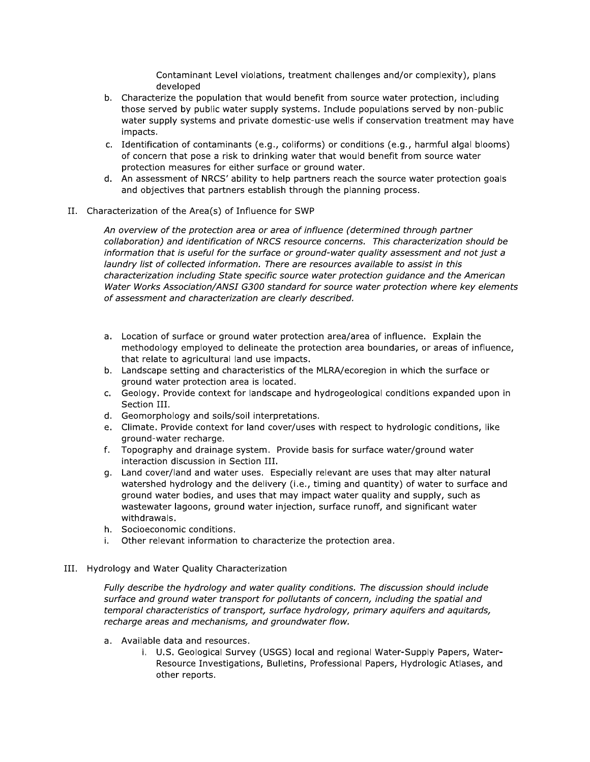Contaminant Level violations, treatment challenges and/or complexity), plans developed

- b. Characterize the population that would benefit from source water protection, including those served by public water supply systems. Include populations served by non-public water supply systems and private domestic-use wells if conservation treatment may have impacts.
- c. Identification of contaminants (e.g., coliforms) or conditions (e.g., harmful algal blooms) of concern that pose a risk to drinking water that would benefit from source water protection measures for either surface or ground water.
- d. An assessment of NRCS' ability to help partners reach the source water protection goals and objectives that partners establish through the planning process.
- II. Characterization of the Area(s) of Influence for SWP

An overview of the protection area or area of influence (determined through partner collaboration) and identification of NRCS resource concerns. This characterization should be information that is useful for the surface or ground-water quality assessment and not just a laundry list of collected information. There are resources available to assist in this characterization including State specific source water protection guidance and the American Water Works Association/ANSI G300 standard for source water protection where key elements of assessment and characterization are clearly described.

- a. Location of surface or ground water protection area/area of influence. Explain the methodology employed to delineate the protection area boundaries, or areas of influence, that relate to agricultural land use impacts.
- b. Landscape setting and characteristics of the MLRA/ecoregion in which the surface or ground water protection area is located.
- c. Geology. Provide context for landscape and hydrogeological conditions expanded upon in Section III.
- d. Geomorphology and soils/soil interpretations.
- e. Climate. Provide context for land cover/uses with respect to hydrologic conditions, like ground-water recharge.
- f. Topography and drainage system. Provide basis for surface water/ground water interaction discussion in Section III.
- g. Land cover/land and water uses. Especially relevant are uses that may alter natural watershed hydrology and the delivery (i.e., timing and quantity) of water to surface and ground water bodies, and uses that may impact water quality and supply, such as wastewater lagoons, ground water injection, surface runoff, and significant water withdrawals.
- h. Socioeconomic conditions.
- i. Other relevant information to characterize the protection area.
- III. Hydrology and Water Quality Characterization

Fully describe the hydrology and water quality conditions. The discussion should include surface and ground water transport for pollutants of concern, including the spatial and temporal characteristics of transport, surface hydrology, primary aquifers and aquitards, recharge areas and mechanisms, and groundwater flow.

- a. Available data and resources.
	- i. U.S. Geological Survey (USGS) local and regional Water-Supply Papers, Water-Resource Investigations, Bulletins, Professional Papers, Hydrologic Atlases, and other reports.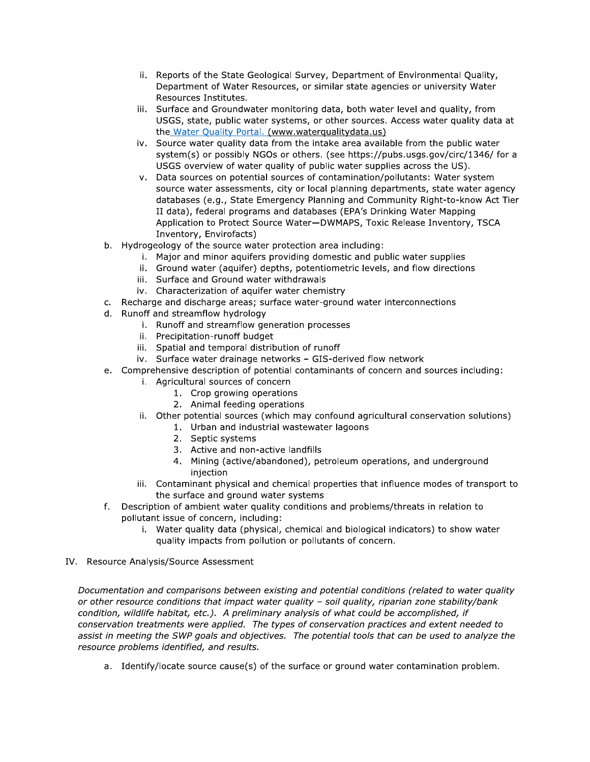- ii. Reports of the State Geological Survey, Department of Environmental Quality, Department of Water Resources, or similar state agencies or university Water Resources Institutes.
- iii. Surface and Groundwater monitoring data, both water level and quality, from USGS, state, public water systems, or other sources. Access water quality data at the Water Quality Portal. (www.waterqualitydata.us)
- iv. Source water quality data from the intake area available from the public water system(s) or possibly NGOs or others. (see https://pubs.usgs.gov/circ/1346/ for a USGS overview of water quality of public water supplies across the US).
- v. Data sources on potential sources of contamination/pollutants: Water system source water assessments, city or local planning departments, state water agency databases (e.g., State Emergency Planning and Community Right-to-know Act Tier II data), federal programs and databases (EPA's Drinking Water Mapping Application to Protect Source Water-DWMAPS, Toxic Release Inventory, TSCA Inventory, Envirofacts)
- b. Hydrogeology of the source water protection area including:
	- i. Major and minor aquifers providing domestic and public water supplies
	- ii. Ground water (aquifer) depths, potentiometric levels, and flow directions
	- iii. Surface and Ground water withdrawals
	- iv. Characterization of aquifer water chemistry
- c. Recharge and discharge areas; surface water-ground water interconnections
- d. Runoff and streamflow hydrology
	- i. Runoff and streamflow generation processes
	- ii. Precipitation-runoff budget
	- iii. Spatial and temporal distribution of runoff
	- iv. Surface water drainage networks GIS-derived flow network
- e. Comprehensive description of potential contaminants of concern and sources including:
	- i. Agricultural sources of concern
		- 1. Crop growing operations
		- 2. Animal feeding operations
	- ii. Other potential sources (which may confound agricultural conservation solutions)
		- 1. Urban and industrial wastewater lagoons
		- 2. Septic systems
		- 3. Active and non-active landfills
		- 4. Mining (active/abandoned), petroleum operations, and underground iniection
	- iii. Contaminant physical and chemical properties that influence modes of transport to the surface and ground water systems
- f. Description of ambient water quality conditions and problems/threats in relation to pollutant issue of concern, including:
	- i. Water quality data (physical, chemical and biological indicators) to show water quality impacts from pollution or pollutants of concern.
- IV. Resource Analysis/Source Assessment

Documentation and comparisons between existing and potential conditions (related to water quality or other resource conditions that impact water quality - soil quality, riparian zone stability/bank condition, wildlife habitat, etc.). A preliminary analysis of what could be accomplished, if conservation treatments were applied. The types of conservation practices and extent needed to assist in meeting the SWP goals and objectives. The potential tools that can be used to analyze the resource problems identified, and results.

a. Identify/locate source cause(s) of the surface or ground water contamination problem.